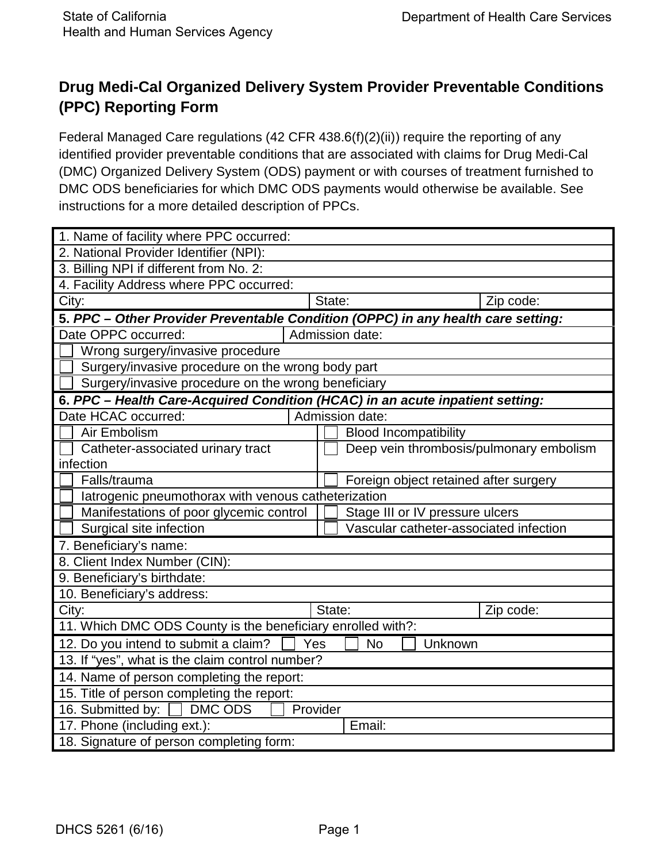# **Drug Medi-Cal Organized Delivery System Provider Preventable Conditions (PPC) Reporting Form**

Federal Managed Care regulations (42 CFR 438.6(f)(2)(ii)) require the reporting of any identified provider preventable conditions that are associated with claims for Drug Medi-Cal (DMC) Organized Delivery System (ODS) payment or with courses of treatment furnished to DMC ODS beneficiaries for which DMC ODS payments would otherwise be available. See instructions for a more detailed description of PPCs.

| 1. Name of facility where PPC occurred:                                          |                 |  |                                        |                                         |           |
|----------------------------------------------------------------------------------|-----------------|--|----------------------------------------|-----------------------------------------|-----------|
| 2. National Provider Identifier (NPI):                                           |                 |  |                                        |                                         |           |
| 3. Billing NPI if different from No. 2:                                          |                 |  |                                        |                                         |           |
| 4. Facility Address where PPC occurred:                                          |                 |  |                                        |                                         |           |
| City:                                                                            |                 |  | State:                                 |                                         | Zip code: |
| 5. PPC - Other Provider Preventable Condition (OPPC) in any health care setting: |                 |  |                                        |                                         |           |
| Date OPPC occurred:                                                              | Admission date: |  |                                        |                                         |           |
| Wrong surgery/invasive procedure                                                 |                 |  |                                        |                                         |           |
| Surgery/invasive procedure on the wrong body part                                |                 |  |                                        |                                         |           |
| Surgery/invasive procedure on the wrong beneficiary                              |                 |  |                                        |                                         |           |
| 6. PPC - Health Care-Acquired Condition (HCAC) in an acute inpatient setting:    |                 |  |                                        |                                         |           |
| Date HCAC occurred:<br>Admission date:                                           |                 |  |                                        |                                         |           |
| Air Embolism                                                                     |                 |  |                                        | <b>Blood Incompatibility</b>            |           |
| Catheter-associated urinary tract                                                |                 |  |                                        | Deep vein thrombosis/pulmonary embolism |           |
| infection                                                                        |                 |  |                                        |                                         |           |
| Falls/trauma                                                                     |                 |  | Foreign object retained after surgery  |                                         |           |
| latrogenic pneumothorax with venous catheterization                              |                 |  |                                        |                                         |           |
| Manifestations of poor glycemic control                                          |                 |  | Stage III or IV pressure ulcers        |                                         |           |
| Surgical site infection                                                          |                 |  | Vascular catheter-associated infection |                                         |           |
| 7. Beneficiary's name:                                                           |                 |  |                                        |                                         |           |
| 8. Client Index Number (CIN):                                                    |                 |  |                                        |                                         |           |
| 9. Beneficiary's birthdate:                                                      |                 |  |                                        |                                         |           |
| 10. Beneficiary's address:                                                       |                 |  |                                        |                                         |           |
| City:                                                                            |                 |  | State:                                 |                                         | Zip code: |
| 11. Which DMC ODS County is the beneficiary enrolled with?:                      |                 |  |                                        |                                         |           |
| 12. Do you intend to submit a claim?<br><b>No</b><br>Unknown<br>Yes              |                 |  |                                        |                                         |           |
| 13. If "yes", what is the claim control number?                                  |                 |  |                                        |                                         |           |
| 14. Name of person completing the report:                                        |                 |  |                                        |                                         |           |
| 15. Title of person completing the report:                                       |                 |  |                                        |                                         |           |
| 16. Submitted by: <u>DMC</u> ODS<br>Provider                                     |                 |  |                                        |                                         |           |
| 17. Phone (including ext.):<br>Email:                                            |                 |  |                                        |                                         |           |
| 18. Signature of person completing form:                                         |                 |  |                                        |                                         |           |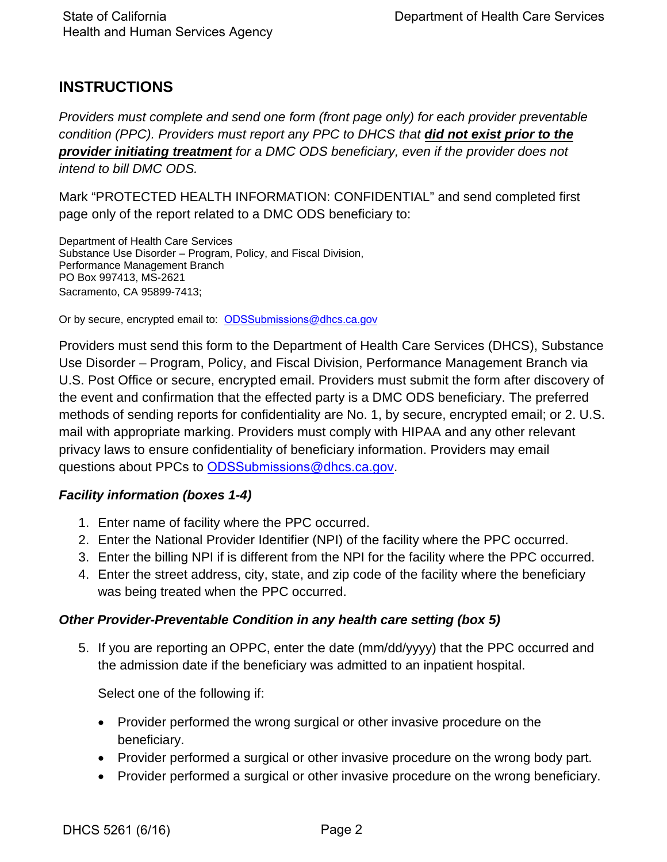## **INSTRUCTIONS**

*Providers must complete and send one form (front page only) for each provider preventable condition (PPC). Providers must report any PPC to DHCS that did not exist prior to the provider initiating treatment for a DMC ODS beneficiary, even if the provider does not intend to bill DMC ODS.* 

Mark "PROTECTED HEALTH INFORMATION: CONFIDENTIAL" and send completed first page only of the report related to a DMC ODS beneficiary to:

Department of Health Care Services Substance Use Disorder – Program, Policy, and Fiscal Division, Performance Management Branch PO Box 997413, MS-2621 Sacramento, CA 95899-7413;

Or by secure, encrypted email to: [ODSSubmissions](mailto:SUDCountyReports@dhcs.ca.gov)@dhcs.ca.gov

Providers must send this form to the Department of Health Care Services (DHCS), Substance Use Disorder – Program, Policy, and Fiscal Division, Performance Management Branch via U.S. Post Office or secure, encrypted email. Providers must submit the form after discovery of the event and confirmation that the effected party is a DMC ODS beneficiary. The preferred methods of sending reports for confidentiality are No. 1, by secure, encrypted email; or 2. U.S. mail with appropriate marking. Providers must comply with HIPAA and any other relevant privacy laws to ensure confidentiality of beneficiary information. Providers may email questions about PPCs to [ODSSubmissions](mailto:SUDCountyReports@dhcs.ca.gov)@dhcs.ca.gov.

## *Facility information (boxes 1-4)*

- 1. Enter name of facility where the PPC occurred.
- 2. Enter the National Provider Identifier (NPI) of the facility where the PPC occurred.
- 3. Enter the billing NPI if is different from the NPI for the facility where the PPC occurred.
- 4. Enter the street address, city, state, and zip code of the facility where the beneficiary was being treated when the PPC occurred.

## *Other Provider-Preventable Condition in any health care setting (box 5)*

5. If you are reporting an OPPC, enter the date (mm/dd/yyyy) that the PPC occurred and the admission date if the beneficiary was admitted to an inpatient hospital.

Select one of the following if:

- Provider performed the wrong surgical or other invasive procedure on the beneficiary.
- Provider performed a surgical or other invasive procedure on the wrong body part.
- Provider performed a surgical or other invasive procedure on the wrong beneficiary.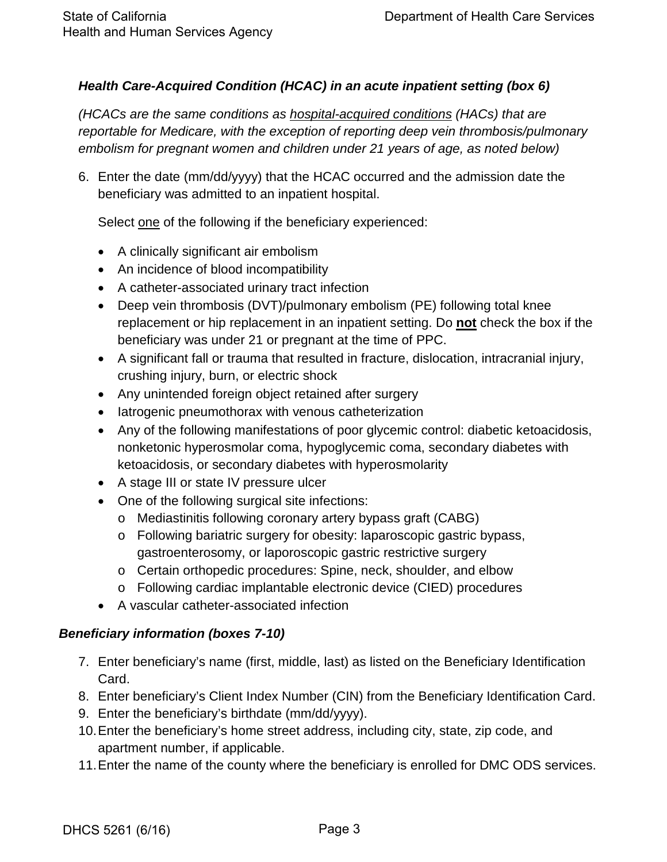## *Health Care-Acquired Condition (HCAC) in an acute inpatient setting (box 6)*

*(HCACs are the same conditions as hospital-acquired conditions (HACs) that are reportable for Medicare, with the exception of reporting deep vein thrombosis/pulmonary embolism for pregnant women and children under 21 years of age, as noted below)* 

6. Enter the date (mm/dd/yyyy) that the HCAC occurred and the admission date the beneficiary was admitted to an inpatient hospital.

Select one of the following if the beneficiary experienced:

- A clinically significant air embolism
- An incidence of blood incompatibility
- A catheter-associated urinary tract infection
- Deep vein thrombosis (DVT)/pulmonary embolism (PE) following total knee replacement or hip replacement in an inpatient setting. Do **not** check the box if the beneficiary was under 21 or pregnant at the time of PPC.
- A significant fall or trauma that resulted in fracture, dislocation, intracranial injury, crushing injury, burn, or electric shock
- Any unintended foreign object retained after surgery
- Iatrogenic pneumothorax with venous catheterization
- Any of the following manifestations of poor glycemic control: diabetic ketoacidosis, nonketonic hyperosmolar coma, hypoglycemic coma, secondary diabetes with ketoacidosis, or secondary diabetes with hyperosmolarity
- A stage III or state IV pressure ulcer
- One of the following surgical site infections:
	- o Mediastinitis following coronary artery bypass graft (CABG)
	- o Following bariatric surgery for obesity: laparoscopic gastric bypass, gastroenterosomy, or laporoscopic gastric restrictive surgery
	- o Certain orthopedic procedures: Spine, neck, shoulder, and elbow
	- o Following cardiac implantable electronic device (CIED) procedures
- A vascular catheter-associated infection

## *Beneficiary information (boxes 7-10)*

- 7. Enter beneficiary's name (first, middle, last) as listed on the Beneficiary Identification Card.
- 8. Enter beneficiary's Client Index Number (CIN) from the Beneficiary Identification Card.
- 9. Enter the beneficiary's birthdate (mm/dd/yyyy).
- 10.Enter the beneficiary's home street address, including city, state, zip code, and apartment number, if applicable.
- 11.Enter the name of the county where the beneficiary is enrolled for DMC ODS services.